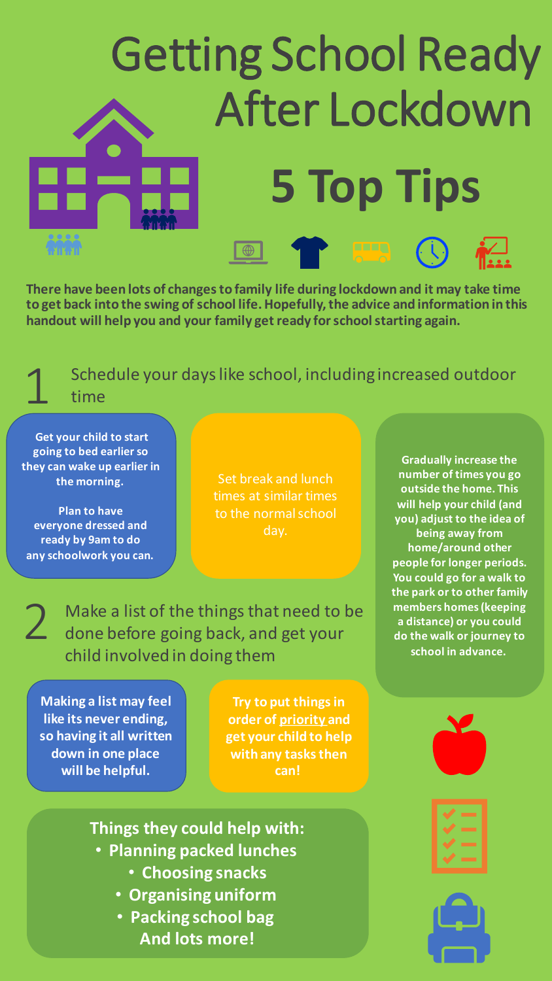# Getting School Ready After Lockdown **5 Top Tips**

**There have been lots of changes to family life during lockdown and it may take time to get back into the swing of school life. Hopefully, the advice and information in this handout will help you and your family get ready for school starting again.**

Schedule your days like school, including increased outdoor time

**Get your child to start going to bed earlier so they can wake up earlier in the morning.**

1

2

**Plan to have everyone dressed and ready by 9am to do any schoolwork you can.**

Set break and lunch times at similar times to the normal school day.

Make a list of the things that need to be done before going back, and get your child involved in doing them

**Making a list may feel like its never ending, so having it all written down in one place will be helpful.**

**Try to put things in order of priority and get your child to help with any tasks then can!**

**Gradually increase the number of times you go outside the home. This will help your child (and you) adjust to the idea of being away from home/around other people for longer periods. You could go for a walk to the park or to other family members homes (keeping a distance) or you could do the walk or journey to school in advance.**

**Things they could help with:**

- **Planning packed lunches**
	- **Choosing snacks**
	- **Organising uniform**
	- **Packing school bag And lots more!**



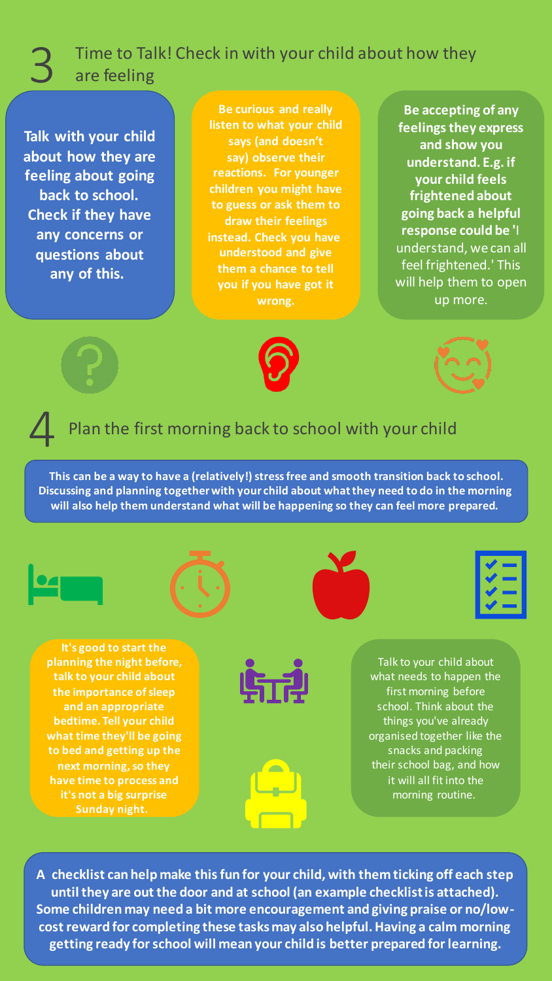#### 3 Time to Talk! Check in with your child about how they are feeling

**Talk with your child about how they are feeling about going back to school. Check if they have any concerns or questions about any of this.**

```
Be curious and really 
listen to what your child 
   says (and doesn't 
   say) observe their 
 reactions. For younger 
children you might have 
to guess or ask them to 
   draw their feelings 
instead. Check you have
  understood and give 
 them a chance to tell 
 you if you have got it 
         wrong.
```
**Be accepting of any feelings they express and show you understand. E.g. if your child feels frightened about going back a helpful response could be '**I understand, we can all feel frightened.' This will help them to open up more.





#### Plan the first morning back to school with your child

**This can be a way to have a (relatively!) stress free and smooth transition back to school. Discussing and planning together with your child about what they need to do in the morning will also help them understand what will be happening so they can feel more prepared.**









**It's good to start the planning the night before, talk to your child about the importance of sleep and an appropriate bedtime. Tell your child what time they'll be going to bed and getting up the next morning, so they have time to process and it's not a big surprise Sunday night.**





Talk to your child about what needs to happen the first morning before school. Think about the things you've already organised together like the snacks and packing their school bag, and how it will all fit into the morning routine.

**A checklist can help make this fun for your child, with them ticking off each step until they are out the door and at school (an example checklist is attached). Some children may need a bit more encouragement and giving praise or no/lowcost reward for completing these tasks may also helpful. Having a calm morning getting ready for school will mean your child is better prepared for learning.**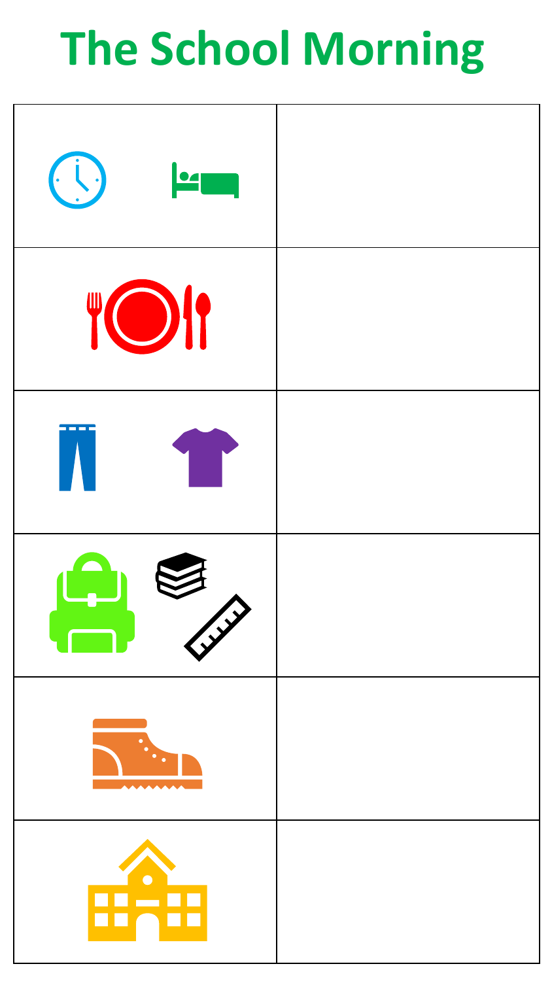## **The School Morning**